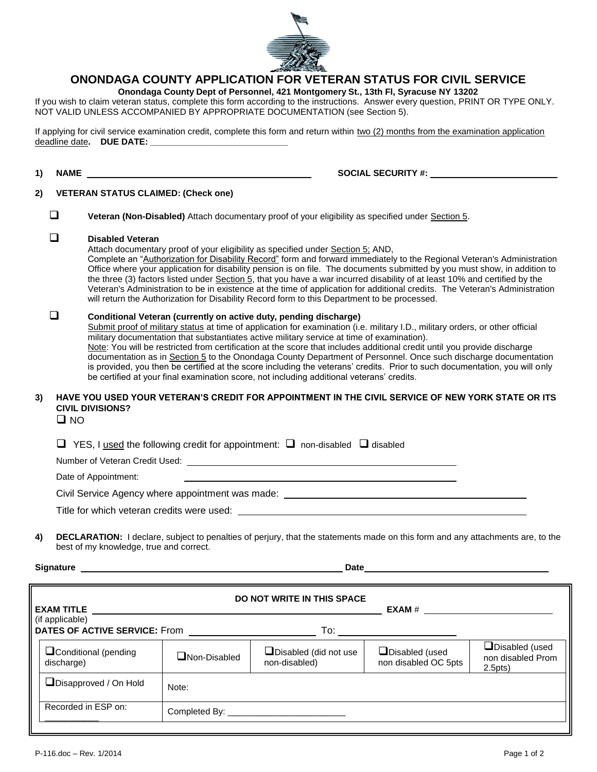

## **ONONDAGA COUNTY APPLICATION FOR VETERAN STATUS FOR CIVIL SERVICE**

**Onondaga County Dept of Personnel, 421 Montgomery St., 13th Fl, Syracuse NY 13202**

If you wish to claim veteran status, complete this form according to the instructions. Answer every question, PRINT OR TYPE ONLY. NOT VALID UNLESS ACCOMPANIED BY APPROPRIATE DOCUMENTATION (see Section 5).

If applying for civil service examination credit, complete this form and return within two (2) months from the examination application deadline date. DUE DATE:

**1) NAME SOCIAL SECURITY #:** 

#### **2) VETERAN STATUS CLAIMED: (Check one)**

**Veteran (Non-Disabled)** Attach documentary proof of your eligibility as specified under Section 5.

### **Disabled Veteran**

Attach documentary proof of your eligibility as specified under Section 5; AND,

Complete an "Authorization for Disability Record" form and forward immediately to the Regional Veteran's Administration Office where your application for disability pension is on file. The documents submitted by you must show, in addition to the three (3) factors listed under Section 5, that you have a war incurred disability of at least 10% and certified by the Veteran's Administration to be in existence at the time of application for additional credits. The Veteran's Administration will return the Authorization for Disability Record form to this Department to be processed.

## **Conditional Veteran (currently on active duty, pending discharge)**

Submit proof of military status at time of application for examination (i.e. military I.D., military orders, or other official military documentation that substantiates active military service at time of examination).

Note: You will be restricted from certification at the score that includes additional credit until you provide discharge documentation as in Section 5 to the Onondaga County Department of Personnel. Once such discharge documentation is provided, you then be certified at the score including the veterans' credits. Prior to such documentation, you will only be certified at your final examination score, not including additional veterans' credits.

#### **3) HAVE YOU USED YOUR VETERAN'S CREDIT FOR APPOINTMENT IN THE CIVIL SERVICE OF NEW YORK STATE OR ITS CIVIL DIVISIONS?**

 $\square$  NO

| $\Box$ YES, I used the following credit for appointment: $\Box$ non-disabled $\Box$ disabled |  |
|----------------------------------------------------------------------------------------------|--|
|----------------------------------------------------------------------------------------------|--|

Number of Veteran Credit Used:

Date of Appointment:

Civil Service Agency where appointment was made:

Title for which veteran credits were used:

**4) DECLARATION:** I declare, subject to penalties of perjury, that the statements made on this form and any attachments are, to the best of my knowledge, true and correct.

**Signature Date**

| DO NOT WRITE IN THIS SPACE<br><b>EXAM TITLE</b>         |                     |                                               |                                               |                                                                  |  |
|---------------------------------------------------------|---------------------|-----------------------------------------------|-----------------------------------------------|------------------------------------------------------------------|--|
| (if applicable)<br><b>DATES OF ACTIVE SERVICE: From</b> |                     | To:                                           |                                               |                                                                  |  |
| Conditional (pending<br>discharge)                      | $\Box$ Non-Disabled | $\Box$ Disabled (did not use<br>non-disabled) | $\Box$ Disabled (used<br>non disabled OC 5pts | $\Box$ Disabled (used<br>non disabled Prom<br>2.5 <sub>pts</sub> |  |
| Disapproved / On Hold                                   | Note:               |                                               |                                               |                                                                  |  |
| Recorded in ESP on:                                     |                     |                                               |                                               |                                                                  |  |